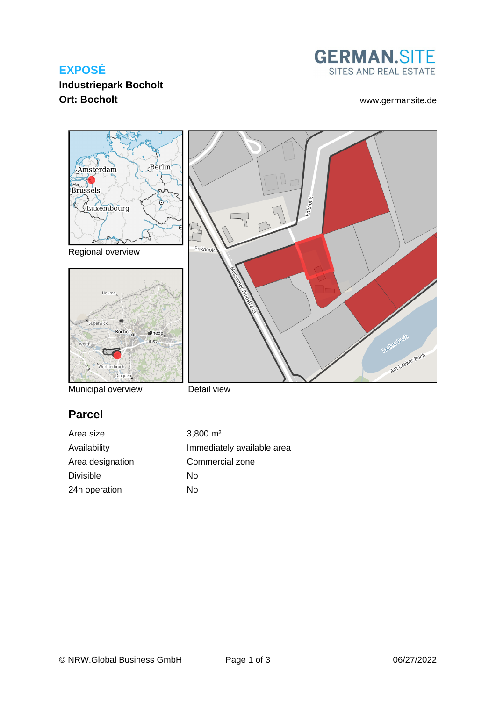# **EXPOSÉ**



Enkhook

# **Industriepark Bocholt Ort: Bocholt** [www.germansite.de](http://www.germansite.de)

Am Laaker Bach



Regional overview



Municipal overview

Detail view

Enkhook

# **Parcel**

Area size 3,800 m<sup>2</sup> Area designation Commercial zone Divisible No 24h operation No

Availability **Immediately** available area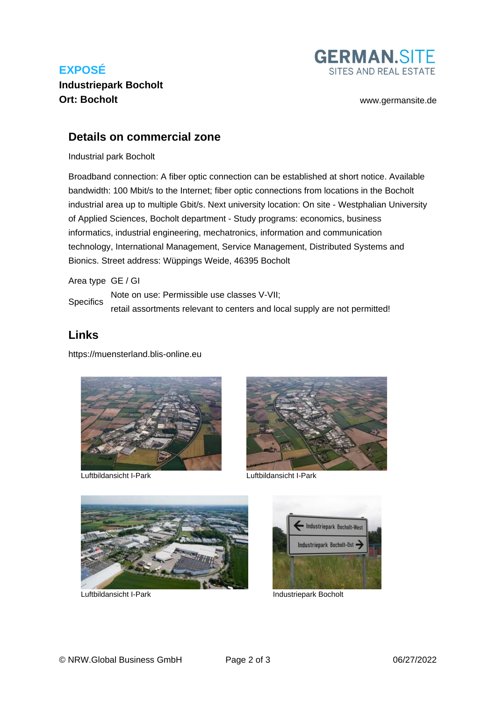# **EXPOSÉ Industriepark Bocholt Ort: Bocholt** [www.germansite.de](http://www.germansite.de)



## **Details on commercial zone**

### Industrial park Bocholt

Broadband connection: A fiber optic connection can be established at short notice. Available bandwidth: 100 Mbit/s to the Internet; fiber optic connections from locations in the Bocholt industrial area up to multiple Gbit/s. Next university location: On site - Westphalian University of Applied Sciences, Bocholt department - Study programs: economics, business informatics, industrial engineering, mechatronics, information and communication technology, International Management, Service Management, Distributed Systems and Bionics. Street address: Wüppings Weide, 46395 Bocholt

### Area type GE / GI

**Specifics** Note on use: Permissible use classes V-VII; retail assortments relevant to centers and local supply are not permitted!

## **Links**

<https://muensterland.blis-online.eu>



Luftbildansicht I-Park Luftbildansicht I-Park







Luftbildansicht I-Park Industriepark Bocholt